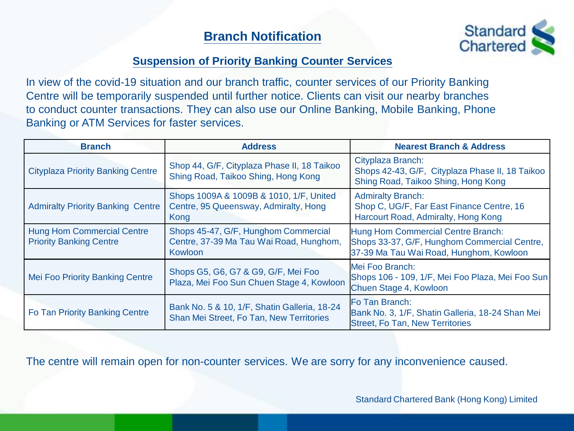# **Branch Notification**



#### **Suspension of Priority Banking Counter Services**

In view of the covid-19 situation and our branch traffic, counter services of our Priority Banking Centre will be temporarily suspended until further notice. Clients can visit our nearby branches to conduct counter transactions. They can also use our Online Banking, Mobile Banking, Phone Banking or ATM Services for faster services.

| <b>Branch</b>                                                       | <b>Address</b>                                                                                    | <b>Nearest Branch &amp; Address</b>                                                                                           |
|---------------------------------------------------------------------|---------------------------------------------------------------------------------------------------|-------------------------------------------------------------------------------------------------------------------------------|
| <b>Cityplaza Priority Banking Centre</b>                            | Shop 44, G/F, Cityplaza Phase II, 18 Taikoo<br>Shing Road, Taikoo Shing, Hong Kong                | Cityplaza Branch:<br>Shops 42-43, G/F, Cityplaza Phase II, 18 Taikoo<br>Shing Road, Taikoo Shing, Hong Kong                   |
| <b>Admiralty Priority Banking Centre</b>                            | Shops 1009A & 1009B & 1010, 1/F, United<br>Centre, 95 Queensway, Admiralty, Hong<br>Kong          | <b>Admiralty Branch:</b><br>Shop C, UG/F, Far East Finance Centre, 16<br>Harcourt Road, Admiralty, Hong Kong                  |
| <b>Hung Hom Commercial Centre</b><br><b>Priority Banking Centre</b> | Shops 45-47, G/F, Hunghom Commercial<br>Centre, 37-39 Ma Tau Wai Road, Hunghom,<br><b>Kowloon</b> | Hung Hom Commercial Centre Branch:<br>Shops 33-37, G/F, Hunghom Commercial Centre,<br>37-39 Ma Tau Wai Road, Hunghom, Kowloon |
| <b>Mei Foo Priority Banking Centre</b>                              | Shops G5, G6, G7 & G9, G/F, Mei Foo<br>Plaza, Mei Foo Sun Chuen Stage 4, Kowloon                  | Mei Foo Branch:<br>Shops 106 - 109, 1/F, Mei Foo Plaza, Mei Foo Sun<br>Chuen Stage 4, Kowloon                                 |
| Fo Tan Priority Banking Centre                                      | Bank No. 5 & 10, 1/F, Shatin Galleria, 18-24<br>Shan Mei Street, Fo Tan, New Territories          | Fo Tan Branch:<br>Bank No. 3, 1/F, Shatin Galleria, 18-24 Shan Mei<br><b>Street, Fo Tan, New Territories</b>                  |

The centre will remain open for non-counter services. We are sorry for any inconvenience caused.